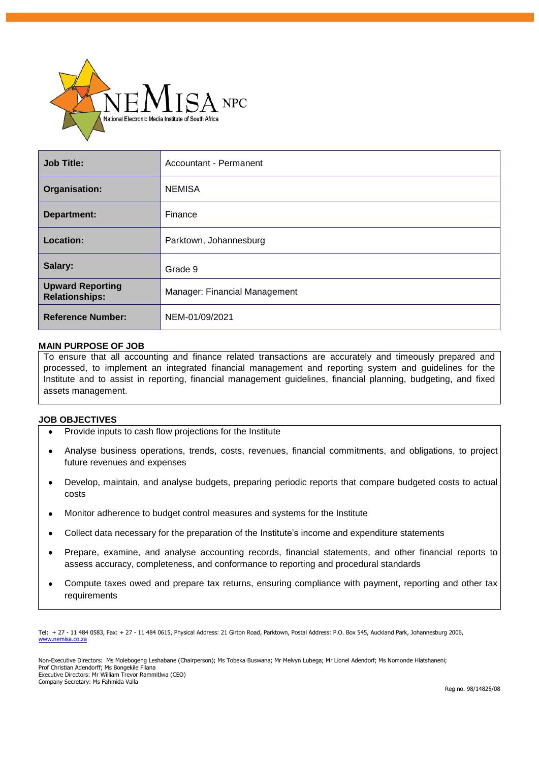

| Job Title:                                       | Accountant - Permanent        |
|--------------------------------------------------|-------------------------------|
| Organisation:                                    | <b>NEMISA</b>                 |
| Department:                                      | Finance                       |
| Location:                                        | Parktown, Johannesburg        |
| Salary:                                          | Grade 9                       |
| <b>Upward Reporting</b><br><b>Relationships:</b> | Manager: Financial Management |
| <b>Reference Number:</b>                         | NEM-01/09/2021                |

#### **MAIN PURPOSE OF JOB**

To ensure that all accounting and finance related transactions are accurately and timeously prepared and processed, to implement an integrated financial management and reporting system and guidelines for the Institute and to assist in reporting, financial management guidelines, financial planning, budgeting, and fixed assets management.

#### **JOB OBJECTIVES**

- Provide inputs to cash flow projections for the Institute
- Analyse business operations, trends, costs, revenues, financial commitments, and obligations, to project future revenues and expenses
- Develop, maintain, and analyse budgets, preparing periodic reports that compare budgeted costs to actual costs
- Monitor adherence to budget control measures and systems for the Institute
- Collect data necessary for the preparation of the Institute's income and expenditure statements
- Prepare, examine, and analyse accounting records, financial statements, and other financial reports to assess accuracy, completeness, and conformance to reporting and procedural standards
- Compute taxes owed and prepare tax returns, ensuring compliance with payment, reporting and other tax requirements

Tel: + 27 - 11 484 0583, Fax: + 27 - 11 484 0615, Physical Address: 21 Girton Road, Parktown, Postal Address: P.O. Box 545, Auckland Park, Johannesburg 2006, [www.nemisa.co.za](http://www.nemisa.co.za/)

Non-Executive Directors: Ms Molebogeng Leshabane (Chairperson); Ms Tobeka Buswana; Mr Melvyn Lubega; Mr Lionel Adendorf; Ms Nomonde Hlatshaneni; Prof Christian Adendorff; Ms Bongekile Filana Executive Directors: Mr William Trevor Rammitlwa (CEO) Company Secretary: Ms Fahmida Valla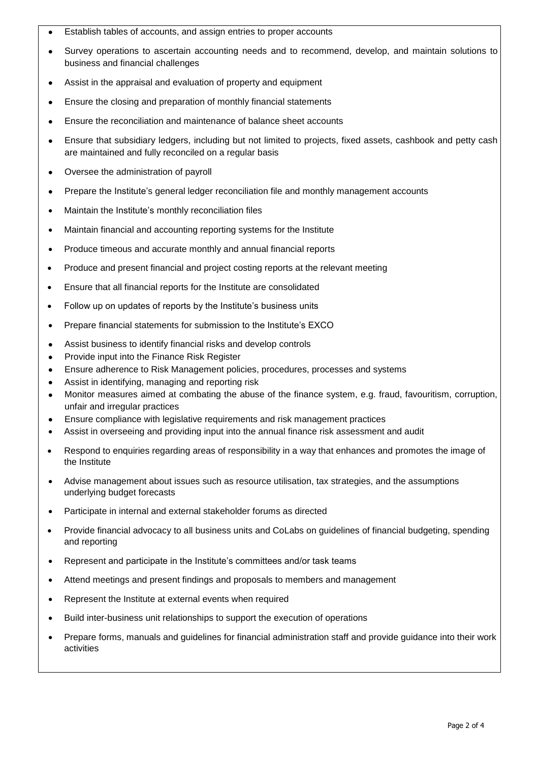- Establish tables of accounts, and assign entries to proper accounts
- Survey operations to ascertain accounting needs and to recommend, develop, and maintain solutions to business and financial challenges
- Assist in the appraisal and evaluation of property and equipment
- Ensure the closing and preparation of monthly financial statements
- Ensure the reconciliation and maintenance of balance sheet accounts
- Ensure that subsidiary ledgers, including but not limited to projects, fixed assets, cashbook and petty cash are maintained and fully reconciled on a regular basis
- Oversee the administration of payroll
- Prepare the Institute's general ledger reconciliation file and monthly management accounts
- Maintain the Institute's monthly reconciliation files
- Maintain financial and accounting reporting systems for the Institute
- Produce timeous and accurate monthly and annual financial reports
- Produce and present financial and project costing reports at the relevant meeting
- Ensure that all financial reports for the Institute are consolidated
- Follow up on updates of reports by the Institute's business units
- Prepare financial statements for submission to the Institute's EXCO
- Assist business to identify financial risks and develop controls
- Provide input into the Finance Risk Register
- Ensure adherence to Risk Management policies, procedures, processes and systems
- Assist in identifying, managing and reporting risk
- Monitor measures aimed at combating the abuse of the finance system, e.g. fraud, favouritism, corruption, unfair and irregular practices
- Ensure compliance with legislative requirements and risk management practices
- Assist in overseeing and providing input into the annual finance risk assessment and audit
- Respond to enquiries regarding areas of responsibility in a way that enhances and promotes the image of the Institute
- Advise management about issues such as resource utilisation, tax strategies, and the assumptions underlying budget forecasts
- Participate in internal and external stakeholder forums as directed
- Provide financial advocacy to all business units and CoLabs on guidelines of financial budgeting, spending and reporting
- Represent and participate in the Institute's committees and/or task teams
- Attend meetings and present findings and proposals to members and management
- Represent the Institute at external events when required
- Build inter-business unit relationships to support the execution of operations
- Prepare forms, manuals and guidelines for financial administration staff and provide guidance into their work activities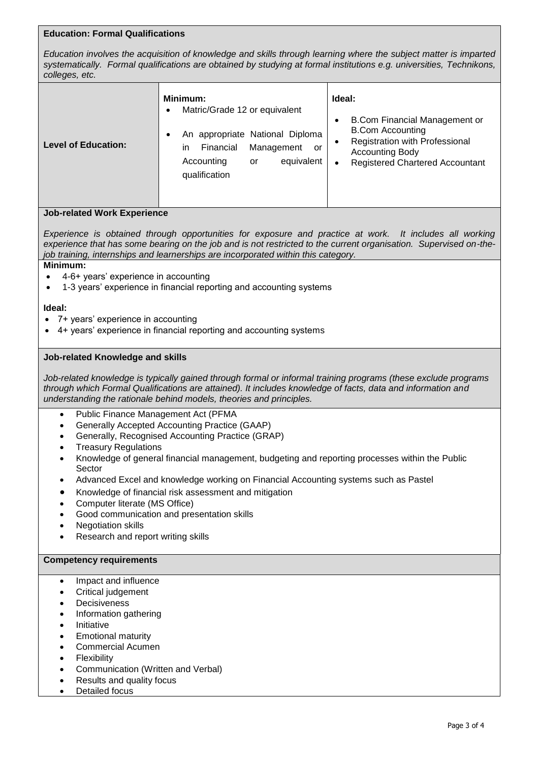# **Education: Formal Qualifications**

*Education involves the acquisition of knowledge and skills through learning where the subject matter is imparted systematically. Formal qualifications are obtained by studying at formal institutions e.g. universities, Technikons, colleges, etc.*

### **Job-related Work Experience**

*Experience is obtained through opportunities for exposure and practice at work. It includes all working experience that has some bearing on the job and is not restricted to the current organisation. Supervised on-thejob training, internships and learnerships are incorporated within this category.*

# **Minimum:**

- 4-6+ years' experience in accounting
- 1-3 years' experience in financial reporting and accounting systems

### **Ideal:**

- 7+ years' experience in accounting
- 4+ years' experience in financial reporting and accounting systems

### **Job-related Knowledge and skills**

*Job-related knowledge is typically gained through formal or informal training programs (these exclude programs through which Formal Qualifications are attained). It includes knowledge of facts, data and information and understanding the rationale behind models, theories and principles.*

- Public Finance Management Act (PFMA
- Generally Accepted Accounting Practice (GAAP)
- Generally, Recognised Accounting Practice (GRAP)
- Treasury Regulations
- Knowledge of general financial management, budgeting and reporting processes within the Public Sector
- Advanced Excel and knowledge working on Financial Accounting systems such as Pastel
- Knowledge of financial risk assessment and mitigation
- Computer literate (MS Office)
- Good communication and presentation skills
- Negotiation skills
- Research and report writing skills

### **Competency requirements**

- Impact and influence
- Critical judgement
- **Decisiveness**
- Information gathering
- **Initiative**
- Emotional maturity
- Commercial Acumen
- **Flexibility**
- Communication (Written and Verbal)
- Results and quality focus
- Detailed focus